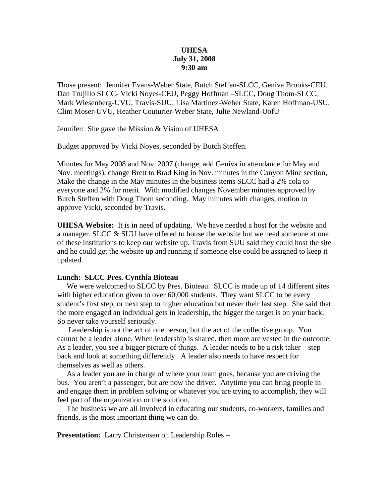#### **UHESA July 31, 2008 9:30 am**

Those present: Jennifer Evans-Weber State, Butch Steffen-SLCC, Geniva Brooks-CEU, Dan Trujillo SLCC- Vicki Noyes-CEU, Peggy Hoffman –SLCC, Doug Thom-SLCC, Mark Wiesenberg-UVU, Travis-SUU, Lisa Martinez-Weber State, Karen Hoffman-USU, Clint Moser-UVU, Heather Couturier-Weber State, Julie Newland-UofU

Jennifer: She gave the Mission & Vision of UHESA

Budget approved by Vicki Noyes, seconded by Butch Steffen.

Minutes for May 2008 and Nov. 2007 (change, add Geniva in attendance for May and Nov. meetings), change Brett to Brad King in Nov. minutes in the Canyon Mine section, Make the change in the May minutes in the business items SLCC had a 2% cola to everyone and 2% for merit. With modified changes November minutes approved by Butch Steffen with Doug Thom seconding. May minutes with changes, motion to approve Vicki, seconded by Travis.

**UHESA Website:** It is in need of updating. We have needed a host for the website and a manager. SLCC & SUU have offered to house the website but we need someone at one of these institutions to keep our website up. Travis from SUU said they could host the site and he could get the website up and running if someone else could be assigned to keep it updated.

#### **Lunch: SLCC Pres. Cynthia Bioteau**

We were welcomed to SLCC by Pres. Bioteau. SLCC is made up of 14 different sites with higher education given to over 60,000 students. They want SLCC to be every student's first step, or next step to higher education but never their last step. She said that the more engaged an individual gets in leadership, the bigger the target is on your back. So never take yourself seriously.

 Leadership is not the act of one person, but the act of the collective group. You cannot be a leader alone. When leadership is shared, then more are vested in the outcome. As a leader, you see a bigger picture of things. A leader needs to be a risk taker – step back and look at something differently. A leader also needs to have respect for themselves as well as others.

 As a leader you are in charge of where your team goes, because you are driving the bus. You aren't a passenger, but are now the driver. Anytime you can bring people in and engage them in problem solving or whatever you are trying to accomplish, they will feel part of the organization or the solution.

 The business we are all involved in educating our students, co-workers, families and friends, is the most important thing we can do.

**Presentation:** Larry Christensen on Leadership Roles –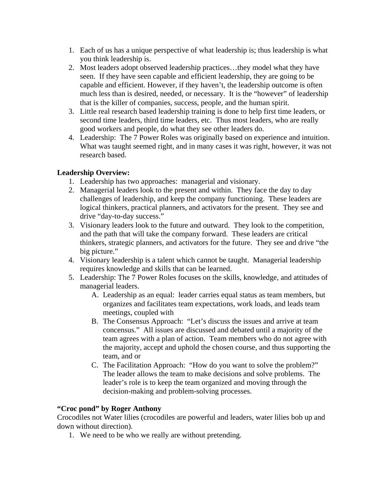- 1. Each of us has a unique perspective of what leadership is; thus leadership is what you think leadership is.
- 2. Most leaders adopt observed leadership practices…they model what they have seen. If they have seen capable and efficient leadership, they are going to be capable and efficient. However, if they haven't, the leadership outcome is often much less than is desired, needed, or necessary. It is the "however" of leadership that is the killer of companies, success, people, and the human spirit.
- 3. Little real research based leadership training is done to help first time leaders, or second time leaders, third time leaders, etc. Thus most leaders, who are really good workers and people, do what they see other leaders do.
- 4. Leadership: The 7 Power Roles was originally based on experience and intuition. What was taught seemed right, and in many cases it was right, however, it was not research based.

# **Leadership Overview:**

- 1. Leadership has two approaches: managerial and visionary.
- 2. Managerial leaders look to the present and within. They face the day to day challenges of leadership, and keep the company functioning. These leaders are logical thinkers, practical planners, and activators for the present. They see and drive "day-to-day success."
- 3. Visionary leaders look to the future and outward. They look to the competition, and the path that will take the company forward. These leaders are critical thinkers, strategic planners, and activators for the future. They see and drive "the big picture."
- 4. Visionary leadership is a talent which cannot be taught. Managerial leadership requires knowledge and skills that can be learned.
- 5. Leadership: The 7 Power Roles focuses on the skills, knowledge, and attitudes of managerial leaders.
	- A. Leadership as an equal: leader carries equal status as team members, but organizes and facilitates team expectations, work loads, and leads team meetings, coupled with
	- B. The Consensus Approach: "Let's discuss the issues and arrive at team concensus." All issues are discussed and debated until a majority of the team agrees with a plan of action. Team members who do not agree with the majority, accept and uphold the chosen course, and thus supporting the team, and or
	- C. The Facilitation Approach: "How do you want to solve the problem?" The leader allows the team to make decisions and solve problems. The leader's role is to keep the team organized and moving through the decision-making and problem-solving processes.

## **"Croc pond" by Roger Anthony**

Crocodiles not Water lilies (crocodiles are powerful and leaders, water lilies bob up and down without direction).

1. We need to be who we really are without pretending.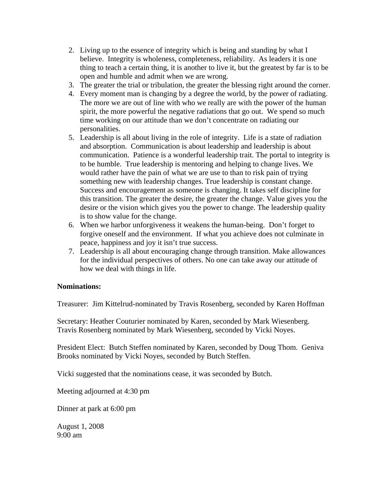- 2. Living up to the essence of integrity which is being and standing by what I believe. Integrity is wholeness, completeness, reliability. As leaders it is one thing to teach a certain thing, it is another to live it, but the greatest by far is to be open and humble and admit when we are wrong.
- 3. The greater the trial or tribulation, the greater the blessing right around the corner.
- 4. Every moment man is changing by a degree the world, by the power of radiating. The more we are out of line with who we really are with the power of the human spirit, the more powerful the negative radiations that go out. We spend so much time working on our attitude than we don't concentrate on radiating our personalities.
- 5. Leadership is all about living in the role of integrity. Life is a state of radiation and absorption. Communication is about leadership and leadership is about communication. Patience is a wonderful leadership trait. The portal to integrity is to be humble. True leadership is mentoring and helping to change lives. We would rather have the pain of what we are use to than to risk pain of trying something new with leadership changes. True leadership is constant change. Success and encouragement as someone is changing. It takes self discipline for this transition. The greater the desire, the greater the change. Value gives you the desire or the vision which gives you the power to change. The leadership quality is to show value for the change.
- 6. When we harbor unforgiveness it weakens the human-being. Don't forget to forgive oneself and the environment. If what you achieve does not culminate in peace, happiness and joy it isn't true success.
- 7. Leadership is all about encouraging change through transition. Make allowances for the individual perspectives of others. No one can take away our attitude of how we deal with things in life.

#### **Nominations:**

Treasurer: Jim Kittelrud-nominated by Travis Rosenberg, seconded by Karen Hoffman

Secretary: Heather Couturier nominated by Karen, seconded by Mark Wiesenberg. Travis Rosenberg nominated by Mark Wiesenberg, seconded by Vicki Noyes.

President Elect: Butch Steffen nominated by Karen, seconded by Doug Thom. Geniva Brooks nominated by Vicki Noyes, seconded by Butch Steffen.

Vicki suggested that the nominations cease, it was seconded by Butch.

Meeting adjourned at 4:30 pm

Dinner at park at 6:00 pm

August 1, 2008 9:00 am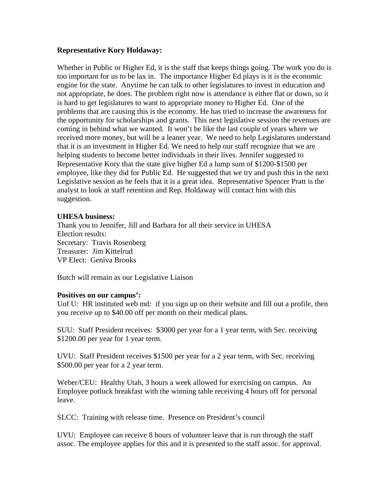### **Representative Kory Holdaway:**

Whether in Public or Higher Ed, it is the staff that keeps things going. The work you do is too important for us to be lax in. The importance Higher Ed plays is it is the economic engine for the state. Anytime he can talk to other legislatures to invest in education and not appropriate, he does. The problem right now is attendance is either flat or down, so it is hard to get legislatures to want to appropriate money to Higher Ed. One of the problems that are causing this is the economy. He has tried to increase the awareness for the opportunity for scholarships and grants. This next legislative session the revenues are coming in behind what we wanted. It won't be like the last couple of years where we received more money, but will be a leaner year. We need to help Legislatures understand that it is an investment in Higher Ed. We need to help our staff recognize that we are helping students to become better individuals in their lives. Jennifer suggested to Representative Kory that the state give higher Ed a lump sum of \$1200-\$1500 per employee, like they did for Public Ed. He suggested that we try and push this in the next Legislative session as he feels that it is a great idea. Representative Spencer Pratt is the analyst to look at staff retention and Rep. Holdaway will contact him with this suggestion.

#### **UHESA business:**

Thank you to Jennifer, Jill and Barbara for all their service in UHESA Election results: Secretary: Travis Rosenberg Treasurer: Jim Kittelrud VP Elect: Geniva Brooks

Butch will remain as our Legislative Liaison

#### **Positives on our campus':**

Uof U: HR instituted web md: if you sign up on their website and fill out a profile, then you receive up to \$40.00 off per month on their medical plans.

SUU: Staff President receives: \$3000 per year for a 1 year term, with Sec. receiving \$1200.00 per year for 1 year term.

UVU: Staff President receives \$1500 per year for a 2 year term, with Sec. receiving \$500.00 per year for a 2 year term.

Weber/CEU: Healthy Utah, 3 hours a week allowed for exercising on campus. An Employee potluck breakfast with the winning table receiving 4 hours off for personal leave.

SLCC: Training with release time. Presence on President's council

UVU: Employee can receive 8 hours of volunteer leave that is run through the staff assoc. The employee applies for this and it is presented to the staff assoc. for approval.